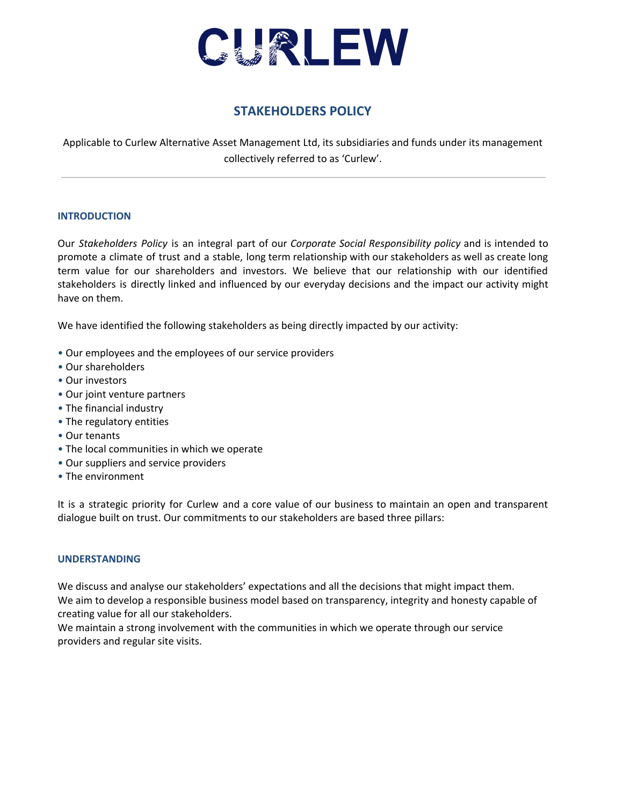

# **STAKEHOLDERS POLICY**

Applicable to Curlew Alternative Asset Management Ltd, its subsidiaries and funds under its management collectively referred to as 'Curlew'.

## **INTRODUCTION**

Our *Stakeholders Policy* is an integral part of our *Corporate Social Responsibility policy* and is intended to promote a climate of trust and a stable, long term relationship with our stakeholders as well as create long term value for our shareholders and investors. We believe that our relationship with our identified stakeholders is directly linked and influenced by our everyday decisions and the impact our activity might have on them.

We have identified the following stakeholders as being directly impacted by our activity:

- Our employees and the employees of our service providers
- Our shareholders
- Our investors
- Our joint venture partners
- The financial industry
- The regulatory entities
- Our tenants
- The local communities in which we operate
- Our suppliers and service providers
- The environment

It is a strategic priority for Curlew and a core value of our business to maintain an open and transparent dialogue built on trust. Our commitments to our stakeholders are based three pillars:

#### **UNDERSTANDING**

We discuss and analyse our stakeholders' expectations and all the decisions that might impact them. We aim to develop a responsible business model based on transparency, integrity and honesty capable of creating value for all our stakeholders.

We maintain a strong involvement with the communities in which we operate through our service providers and regular site visits.